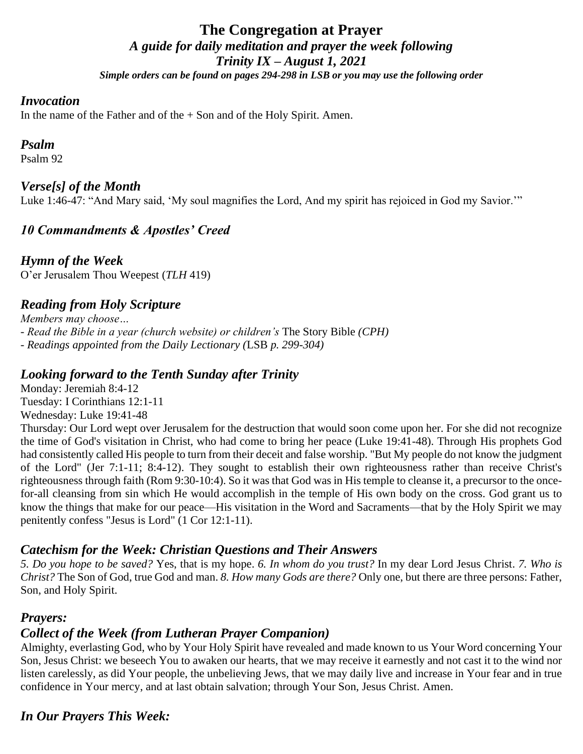## **The Congregation at Prayer** *A guide for daily meditation and prayer the week following Trinity IX – August 1, 2021 Simple orders can be found on pages 294-298 in LSB or you may use the following order*

#### *Invocation*

In the name of the Father and of the  $+$  Son and of the Holy Spirit. Amen.

## *Psalm*

Psalm 92

## *Verse[s] of the Month*

Luke 1:46-47: "And Mary said, 'My soul magnifies the Lord, And my spirit has rejoiced in God my Savior.'"

## *10 Commandments & Apostles' Creed*

*Hymn of the Week* O'er Jerusalem Thou Weepest (*TLH* 419)

## *Reading from Holy Scripture*

*Members may choose… - Read the Bible in a year (church website) or children's* The Story Bible *(CPH) - Readings appointed from the Daily Lectionary (*LSB *p. 299-304)*

#### *Looking forward to the Tenth Sunday after Trinity*

Monday: Jeremiah 8:4-12 Tuesday: I Corinthians 12:1-11 Wednesday: Luke 19:41-48

Thursday: Our Lord wept over Jerusalem for the destruction that would soon come upon her. For she did not recognize the time of God's visitation in Christ, who had come to bring her peace (Luke 19:41-48). Through His prophets God had consistently called His people to turn from their deceit and false worship. "But My people do not know the judgment of the Lord" (Jer 7:1-11; 8:4-12). They sought to establish their own righteousness rather than receive Christ's righteousness through faith (Rom 9:30-10:4). So it was that God was in His temple to cleanse it, a precursor to the oncefor-all cleansing from sin which He would accomplish in the temple of His own body on the cross. God grant us to know the things that make for our peace—His visitation in the Word and Sacraments—that by the Holy Spirit we may penitently confess "Jesus is Lord" (1 Cor 12:1-11).

## *Catechism for the Week: Christian Questions and Their Answers*

*5. Do you hope to be saved?* Yes, that is my hope. *6. In whom do you trust?* In my dear Lord Jesus Christ. *7. Who is Christ?* The Son of God, true God and man. *8. How many Gods are there?* Only one, but there are three persons: Father, Son, and Holy Spirit.

## *Prayers:*

## *Collect of the Week (from Lutheran Prayer Companion)*

Almighty, everlasting God, who by Your Holy Spirit have revealed and made known to us Your Word concerning Your Son, Jesus Christ: we beseech You to awaken our hearts, that we may receive it earnestly and not cast it to the wind nor listen carelessly, as did Your people, the unbelieving Jews, that we may daily live and increase in Your fear and in true confidence in Your mercy, and at last obtain salvation; through Your Son, Jesus Christ. Amen.

## *In Our Prayers This Week:*